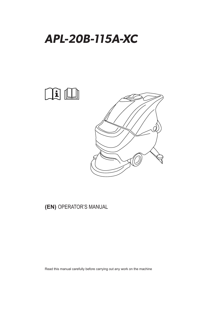



### **(EN)** OPERATOR'S MANUAL

Read this manual carefully before carrying out any work on the machine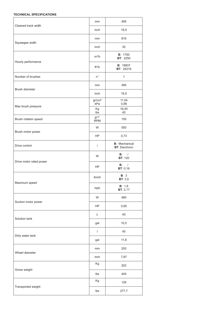#### **TECHNICAL SPECIFICATIONS**

| Cleaned track width     | mm                             | 495                                            |
|-------------------------|--------------------------------|------------------------------------------------|
|                         | inch                           | 19,5                                           |
| Squeegee width          | mm                             | 816                                            |
|                         | inch                           | 32                                             |
|                         | $m^2/h$                        | <b>B</b> : 1750<br><b>BT: 2250</b>             |
| Hourly performance      | ft <sup>2</sup> /h             | <b>B</b> : 18837<br><b>BT: 24219</b>           |
| Number of brushes       | $n^{\circ}$                    | $\mathbf{1}$                                   |
| Brush diameter          | mm                             | 495                                            |
|                         | inch                           | 19,5                                           |
| Max brush pressure      | gr/cm <sup>2</sup><br>kPa      | 11,54<br>0,98                                  |
|                         | Kg<br>Ibs                      | 18,40<br>40                                    |
| Brush rotation speed    | g/1 <sup>1</sup><br><b>RPM</b> | 155                                            |
|                         | W                              | 550                                            |
| Brush motor power       | HP.                            | 0,73                                           |
| Drive control           | $\sqrt{ }$                     | <b>B</b> : Mechanical<br><b>BT: Electronic</b> |
|                         | W                              | $B:$ /<br><b>BT: 120</b>                       |
| Drive motor rated power | HP                             | <b>B</b> :<br>$\prime$<br><b>BT: 0,16</b>      |
|                         | Km/h                           | B: 3<br>BT: 3,5                                |
| Maximum speed           | mph                            | B: 1,8<br><b>BT</b> : 2,17                     |
|                         | W                              | 480                                            |
| Suction motor power     | HP                             | 0,65                                           |
|                         | L                              | 40                                             |
| Solution tank           | gal                            | 10,5                                           |
|                         | $\mathbf{I}$                   | 45                                             |
| Dirty water tank        | gal                            | 11,8                                           |
|                         | mm                             | 200                                            |
| Wheel diameter          | inch                           | 7,87                                           |
|                         | Kg                             | 202                                            |
| Gross weight            | lbs                            | 445                                            |
|                         | Kg                             | 126                                            |
| Transported weight      | lbs                            | 277,7                                          |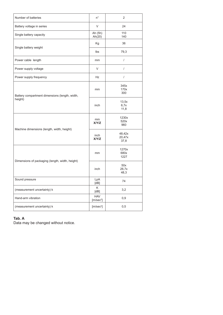| Number of batteries                             | $n^{\circ}$                         | $\overline{2}$           |
|-------------------------------------------------|-------------------------------------|--------------------------|
| Battery voltage in series                       | V                                   | 24                       |
| Single battery capacity                         | Ah (5h)<br>Ah(20)                   | 110<br>140               |
|                                                 | Кg                                  | 36                       |
| Single battery weight                           | lbs                                 | 79,3                     |
| Power cable length                              | mm                                  | $\prime$                 |
| Power supply voltage                            | V                                   | $\sqrt{2}$               |
| Power supply frequency                          | Hz                                  | $\boldsymbol{/}$         |
| Battery compartment dimensions (length, width,  | mm                                  | 345x<br>170x<br>300      |
| height)                                         | inch                                | 13,5x<br>6,7x<br>11,8    |
|                                                 | mm<br><b>X/Y/Z</b>                  | 1230x<br>520x<br>960     |
| Machine dimensions (length, width, height)      | inch<br><b>X/Y/Z</b>                | 48,42x<br>20,47x<br>37,8 |
|                                                 | mm                                  | 1270x<br>680x<br>1227    |
| Dimensions of packaging (length, width, height) | inch                                | 50x<br>26,7x<br>48,3     |
| Sound pressure                                  | LpA<br>[dB]                         | 74                       |
| (measurement uncertainty) k                     | K<br>[dB]                           | 3,2                      |
| Hand-arm vibration                              | <b>HAV</b><br>[m/sec <sup>2</sup> ] | 0,9                      |
| (measurement uncertainty) k                     | [m/sec <sup>2</sup> ]               | 0,5                      |

#### **Tab. A**

Data may be changed without notice.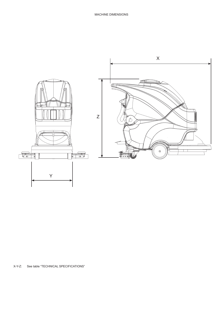

X-Y-Z: See table "TECHNICAL SPECIFICATIONS"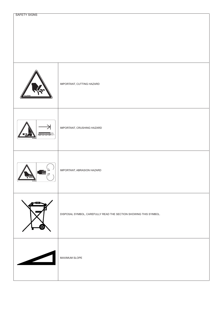| SL25364 | IMPORTANT, CUTTING HAZARD                                        |
|---------|------------------------------------------------------------------|
|         | IMPORTANT, CRUSHING HAZARD                                       |
|         | IMPORTANT, ABRASION HAZARD                                       |
|         | DISPOSAL SYMBOL, CAREFULLY READ THE SECTION SHOWING THIS SYMBOL. |
|         | MAXIMUM SLOPE                                                    |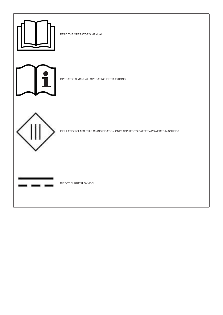| READ THE OPERATOR'S MANUAL                                                      |
|---------------------------------------------------------------------------------|
| OPERATOR'S MANUAL, OPERATING INSTRUCTIONS                                       |
| INSULATION CLASS, THIS CLASSIFICATION ONLY APPLIES TO BATTERY-POWERED MACHINES. |
| DIRECT CURRENT SYMBOL                                                           |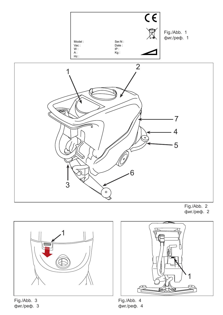





Fig./Abb. 3 фиг./реф. 3



Fig./Abb. 4 фиг./реф. 4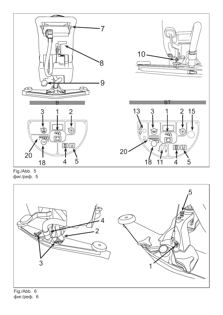

Fig./Abb. 5 фиг./реф. 5



фиг./реф. 6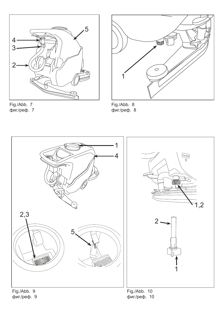



Fig./Abb. 7 фиг./реф. 7

Fig./Abb. 8 фиг./реф. 8



фиг./реф. 9

фиг./реф. 10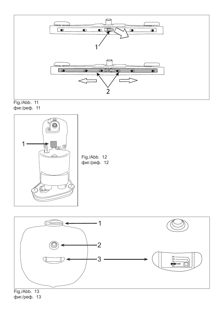





Fig./Abb. 12 фиг./реф. 12



фиг./реф. 13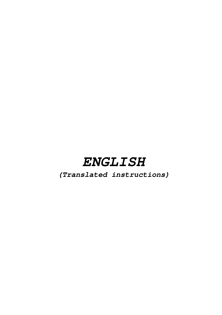# **ENGLISH**

**(Translated instructions)**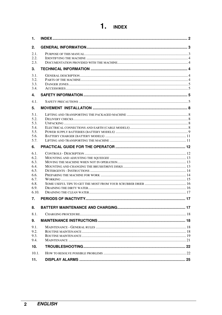| 1.                                   |  |
|--------------------------------------|--|
| 2.                                   |  |
| 2.1.                                 |  |
| 2.2.<br>2.3.                         |  |
| 3.                                   |  |
| 3.1.<br>3.2.<br>3.3.<br>3.4.         |  |
| 4.                                   |  |
| 4.1.                                 |  |
| 5.                                   |  |
| 5.1.<br>5.2.                         |  |
| 5.3.                                 |  |
| 5.4.<br>5.5.                         |  |
| 5.6.                                 |  |
| 5.7.                                 |  |
| 6.                                   |  |
| 6.1.<br>6.2.<br>6.3.<br>6.4.<br>6.5. |  |
| 6.6.                                 |  |
| 6.7.<br>6.8.                         |  |
| 6.9.                                 |  |
| 6.10.                                |  |
| 7.                                   |  |
| 8.                                   |  |
| 8.1.                                 |  |
| 9.                                   |  |
| 9.1.<br>9.2.<br>9.3.<br>9.4.         |  |
| 10 <sub>1</sub>                      |  |
| 10.1.                                |  |
| 11.                                  |  |

# 1. INDEX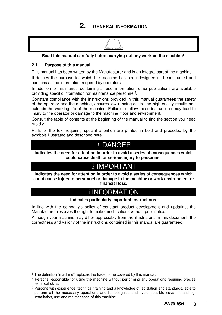### **2. GENERAL INFORMATION**



**Read this manual carefully before carrying out any work on the machine**1**.** 

#### **2.1. Purpose of this manual**

This manual has been written by the Manufacturer and is an integral part of the machine.

It defines the purpose for which the machine has been designed and constructed and contains all the information required by operators2.

In addition to this manual containing all user information, other publications are available providing specific information for maintenance personnel3.

Constant compliance with the instructions provided in this manual guarantees the safety of the operator and the machine, ensures low running costs and high quality results and extends the working life of the machine. Failure to follow these instructions may lead to injury to the operator or damage to the machine, floor and environment.

Consult the table of contents at the beginning of the manual to find the section you need rapidly.

Parts of the text requiring special attention are printed in bold and preceded by the symbols illustrated and described here.

# ! DANGER

**Indicates the need for attention in order to avoid a series of consequences which could cause death or serious injury to personnel.** 

# **A IMPORTANT**

**Indicates the need for attention in order to avoid a series of consequences which could cause injury to personnel or damage to the machine or work environment or financial loss.** 

# i INFORMATION

#### **Indicates particularly important instructions.**

In line with the company's policy of constant product development and updating, the Manufacturer reserves the right to make modifications without prior notice.

Although your machine may differ appreciably from the illustrations in this document, the correctness and validity of the instructions contained in this manual are guaranteed.

 $\overline{a}$ 

<sup>&</sup>lt;sup>1</sup> The definition "machine" replaces the trade name covered by this manual.

<sup>&</sup>lt;sup>2</sup> Persons responsible for using the machine without performing any operations requiring precise technical skills.

<sup>3</sup> Persons with experience, technical training and a knowledge of legislation and standards, able to perform all the necessary operations and to recognise and avoid possible risks in handling, installation, use and maintenance of this machine.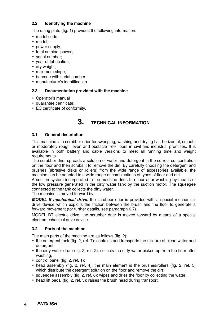#### **2.2. Identifying the machine**

The rating plate (fig. 1) provides the following information:

- model code;
- model;
- power supply;
- total nominal power;
- serial number:
- year of fabrication;
- dry weight;
- maximum slope;
- barcode with serial number;
- manufacturer's identification.

#### **2.3. Documentation provided with the machine**

- Operator's manual
- guarantee certificate;
- EC certificate of conformity.

### **3. TECHNICAL INFORMATION**

#### **3.1. General description**

This machine is a scrubber drier for sweeping, washing and drying flat, horizontal, smooth or moderately rough, even and obstacle free floors in civil and industrial premises. It is available in both battery and cable versions to meet all running time and weight requirements.

The scrubber drier spreads a solution of water and detergent in the correct concentration on the floor and then scrubs it to remove the dirt. By carefully choosing the detergent and brushes (abrasive disks or rollers) from the wide range of accessories available, the machine can be adapted to a wide range of combinations of types of floor and dirt.

A suction system incorporated in the machine dries the floor after washing by means of the low pressure generated in the dirty water tank by the suction motor. The squeegee connected to the tank collects the dirty water.

The machine is moved forward by:

*MODEL B mechanical drive:* the scrubber drier is provided with a special mechanical drive device which exploits the friction between the brush and the floor to generate a forward movement (for further details, see paragraph 6.7).

MODEL BT electric drive: the scrubber drier is moved forward by means of a special electromechanical drive device.

#### **3.2. Parts of the machine**

The main parts of the machine are as follows (fig. 2):

- the detergent tank (fig. 2, ref. 7): contains and transports the mixture of clean water and detergent;
- the dirty water drum (fig. 2, ref. 2): collects the dirty water picked up from the floor after washing;
- control panel (fig. 2, ref. 1):
- head assembly (fig. 2, ref. 4): the main element is the brushes/rollers (fig. 2, ref. 5) which distribute the detergent solution on the floor and remove the dirt;
- squeegee assembly (fig. 2, ref. 6): wipes and dries the floor by collecting the water.
- head lift pedal (fig. 2, ref. 3): raises the brush head during transport.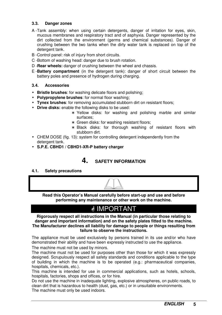#### **3.3. Danger zones**

- A Tank assembly: when using certain detergents, danger of irritation for eyes, skin, mucous membranes and respiratory tract and of asphyxia. Danger represented by the dirt collected from the environment (germs and chemical substances). Danger of crushing between the two tanks when the dirty water tank is replaced on top of the detergent tank.
- B Control panel: risk of injury from short circuits.
- C -Bottom of washing head: danger due to brush rotation.
- D -**Rear wheels:** danger of crushing between the wheel and chassis.
- E **Battery compartment** (in the detergent tank): danger of short circuit between the battery poles and presence of hydrogen during charging.

#### **3.4. Accessories**

- **Bristle brushes**: for washing delicate floors and polishing;
- **Polypropylene brushes**: for normal floor washing;
- **Tynex brushes**: for removing accumulated stubborn dirt on resistant floors;
- **Drive disks:** enable the following disks to be used:
	- ∗ Yellow disks: for washing and polishing marble and similar surfaces;
	- ∗ Green disks: for washing resistant floors;
	- ∗ Black disks: for thorough washing of resistant floors with stubborn dirt.
- CHEM DOSE (fig. 13): system for controlling detergent independently from the detergent tank.
- **S.P.E. CBHD1 / CBHD1-XR-P battery charger**

### **4. SAFETY INFORMATION**

#### **4.1. Safety precautions**



**Read this Operator's Manual carefully before start-up and use and before performing any maintenance or other work on the machine.** 

# **ØIMPORTANT**

**Rigorously respect all instructions in the Manual (in particular those relating to danger and important information) and on the safety plates fitted to the machine. The Manufacturer declines all liability for damage to people or things resulting from failure to observe the instructions.** 

The appliance must be used exclusively by persons trained in its use and/or who have demonstrated their ability and have been expressly instructed to use the appliance.

The machine must not be used by minors.

The machine must not be used for purposes other than those for which it was expressly designed. Scrupulously respect all safety standards and conditions applicable to the type of building in which the machine is to be operated (e.g.: pharmaceutical companies, hospitals, chemicals, etc.).

This machine is intended for use in commercial applications, such as hotels, schools, hospitals, factories, shops and offices, or for hire.

Do not use the machine in inadequate lighting, explosive atmospheres, on public roads, to clean dirt that is hazardous to health (dust, gas, etc.) or in unsuitable environments. The machine must only be used indoors.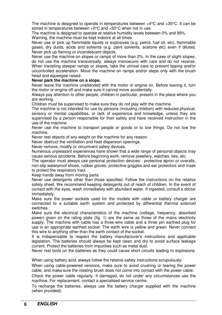The machine is designed to operate in temperatures between +4°C and +35°C. It can be stored in temperatures between +0°C and +50°C when not in use.

The machine is designed to operate at relative humidity levels between 0% and 95%. Warning, the machine must be kept indoors at all times.

Never use or pick up flammable liquids or explosives (e.g. petrol, fuel oil, etc), flammable gases, dry dusts, acids and solvents (e.g. paint solvents, acetone etc) even if diluted. Never pick up flaming or incandescent objects.

Never use the machine on slopes or ramps of more than 2%. In the case of slight slopes, do not use the machine transversally, always manoeuvre with care and do not reverse. When transiting steeper ramps or slopes, take the utmost care to prevent tipping and/or uncontrolled acceleration. Move the machine on ramps and/or steps only with the brush head and squeegee raised.

#### **Never park the machine on a slope.**

Never leave the machine unattended with the motor or engine on. Before leaving it, turn the motor or engine off and make sure it cannot move accidentally.

Always pay attention to other people, children in particular, present in the place where you are working.

Children must be supervised to make sure they do not play with the machine.

The machine is not intended for use by persons (including children) with reduced physical, sensory or mental capabilities, or lack of experience and knowledge, unless they are supervised by a person responsible for their safety and have received instruction in the use of the machine.

Never use the machine to transport people or goods or to tow things. Do not tow the machine.

Never rest objects of any weight on the machine for any reason.

Never obstruct the ventilation and heat dispersion openings.

Never remove, modify or circumvent safety devices.

Numerous unpleasant experiences have shown that a wide range of personal objects may cause serious accidents. Before beginning work, remove jewellery, watches, ties, etc.

The operator must always use personal protection devices - protective apron or overalls, non-slip waterproof shoes, rubber gloves, protective goggles and ear protectors and mask to protect the respiratory tract.

Keep hands away from moving parts.

Never use detergents other than those specified. Follow the instructions on the relative safety sheet. We recommend keeping detergents out of reach of children. In the event of contact with the eyes, wash immediately with abundant water. If ingested, consult a doctor immediately.

Make sure the power sockets used for the models with cable or battery charger are connected to a suitable earth system and protected by differential thermal solenoid switches.

Make sure the electrical characteristics of the machine (voltage, frequency, absorbed power) given on the rating plate (fig. 1) are the same as those of the mains electricity supply. The machine with cable has a three-wire cable and a three pin earthed plug for use in an appropriate earthed socket. The earth wire is yellow and green. Never connect this wire to anything other than the earth contact of the socket.

It is indispensable to respect the battery manufacturer's instructions and applicable legislation. The batteries should always be kept clean and dry to avoid surface leakage current. Protect the batteries from impurities such as metal dust.

Never rest tools on the batteries as they could cause short circuits leading to explosions.

When using battery acid, always follow the relative safety instructions scrupulously.

When using cable-powered versions, make sure to avoid crushing or tearing the power cable, and make sure the rotating brush does not come into contact with the power cable.

Check the power cable regularly. If damaged, do not under any circumstances use the machine. For replacement, contact a specialised service centre.

To recharge the batteries, always use the battery charger supplied with the machine (when provided).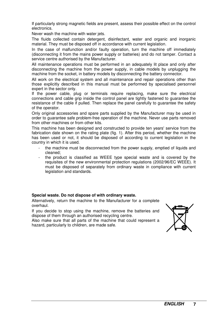If particularly strong magnetic fields are present, assess their possible effect on the control electronics.

Never wash the machine with water jets.

The fluids collected contain detergent, disinfectant, water and organic and inorganic material. They must be disposed off in accordance with current legislation.

In the case of malfunction and/or faulty operation, turn the machine off immediately (disconnecting it from the mains power supply or batteries) and do not tamper. Contact a service centre authorised by the Manufacturer.

All maintenance operations must be performed in an adequately lit place and only after disconnecting the machine from the power supply, in cable models by unplugging the machine from the socket, in battery models by disconnecting the battery connector.

All work on the electrical system and all maintenance and repair operations other than those explicitly described in this manual must be performed by specialised personnel expert in the sector only.

If the power cable, plug or terminals require replacing, make sure the electrical connections and cable grip inside the control panel are tightly fastened to guarantee the resistance of the cable if pulled. Then replace the panel carefully to guarantee the safety of the operator.

Only original accessories and spare parts supplied by the Manufacturer may be used in order to guarantee safe problem-free operation of the machine. Never use parts removed from other machines or from other kits.

This machine has been designed and constructed to provide ten years' service from the fabrication date shown on the rating plate (fig. 1). After this period, whether the machine has been used or not, it should be disposed of according to current legislation in the country in which it is used.

- the machine must be disconnected from the power supply, emptied of liquids and cleaned;
- the product is classified as WEEE type special waste and is covered by the requisites of the new environmental protection regulations (2002/96/EC WEEE). It must be disposed of separately from ordinary waste in compliance with current legislation and standards.

#### **Special waste. Do not dispose of with ordinary waste.**

Alternatively, return the machine to the Manufacturer for a complete overhaul.

If you decide to stop using the machine, remove the batteries and dispose of them through an authorised recycling centre.

Also make sure that all parts of the machine that could represent a hazard, particularly to children, are made safe.

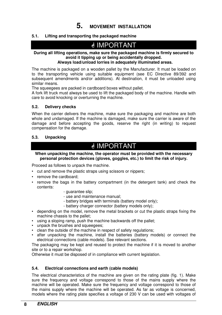**5. MOVEMENT INSTALLATION**

#### **5.1. Lifting and transporting the packaged machine**

# IMPORTANT

#### **During all lifting operations, make sure the packaged machine is firmly secured to avoid it tipping up or being accidentally dropped. Always load/unload lorries in adequately illuminated areas.**

The machine is packaged on a wooden pallet by the Manufacturer. It must be loaded on to the transporting vehicle using suitable equipment (see EC Directive 89/392 and subsequent amendments and/or additions). At destination, it must be unloaded using similar means.

The squeegees are packed in cardboard boxes without pallet.

A fork lift truck must always be used to lift the packaged body of the machine. Handle with care to avoid knocking or overturning the machine.

#### **5.2. Delivery checks**

When the carrier delivers the machine, make sure the packaging and machine are both whole and undamaged. If the machine is damaged, make sure the carrier is aware of the damage and before accepting the goods, reserve the right (in writing) to request compensation for the damage.

#### **5.3. Unpacking**

# IMPORTANT

#### **When unpacking the machine, the operator must be provided with the necessary personal protection devices (gloves, goggles, etc.) to limit the risk of injury.**

Proceed as follows to unpack the machine.

- cut and remove the plastic straps using scissors or nippers;
- remove the cardboard;
- remove the bags in the battery compartment (in the detergent tank) and check the contents:
	- guarantee slip;
	- use and maintenance manual;
	- battery bridges with terminals (battery model only);
	- battery charger connector (battery models only);
- depending on the model, remove the metal brackets or cut the plastic straps fixing the machine chassis to the pallet;
- using a sloping ramp, push the machine backwards off the pallet;
- unpack the brushes and squeegees;
- clean the outside of the machine in respect of safety regulations;
- after unpacking the machine, install the batteries (battery models) or connect the electrical connections (cable models). See relevant sections.

The packaging may be kept and reused to protect the machine if it is moved to another site or to a repair workshop.

Otherwise it must be disposed of in compliance with current legislation.

#### **5.4. Electrical connections and earth (cable models)**

The electrical characteristics of the machine are given on the rating plate (fig. 1). Make sure the frequency and voltage correspond to those of the mains supply where the machine will be operated. Make sure the frequency and voltage correspond to those of the mains supply where the machine will be operated. As far as voltage is concerned, models where the rating plate specifies a voltage of 230 V can be used with voltages of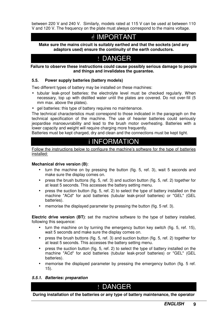between 220 V and 240 V. Similarly, models rated at 115 V can be used at between 110 V and 120 V. The frequency on the plate must always correspond to the mains voltage.

### <u></u> MPORTANT

**Make sure the mains circuit is suitably earthed and that the sockets (and any adaptors used) ensure the continuity of the earth conductors.** 

# ! DANGER

**Failure to observe these instructions could cause possibly serious damage to people and things and invalidates the guarantee.** 

#### **5.5. Power supply batteries (battery models)**

Two different types of battery may be installed on these machines:

- tubular leak-proof batteries: the electrolyte level must be checked regularly. When necessary, top up with distilled water until the plates are covered. Do not over-fill (5 mm max. above the plates).
- gel batteries: this type of battery requires no maintenance.

The technical characteristics must correspond to those indicated in the paragraph on the technical specification of the machine. The use of heavier batteries could seriously jeopardise manoeuvrability and lead to the brush motor overheating. Batteries with a lower capacity and weight will require charging more frequently.

Batteries must be kept charged, dry and clean and the connections must be kept tight.

### i INFORMATION

Follow the instructions below to configure the machine's software for the type of batteries installed:

#### **Mechanical drive version (B)**:

- turn the machine on by pressing the button (fig. 5, ref. 3), wait 5 seconds and make sure the display comes on.
- press the brush buttons (fig. 5, ref. 3) and suction button (fig. 5, ref. 2) together for at least 5 seconds. This accesses the battery setting menu.
- press the suction button (fig. 5, ref. 2) to select the type of battery installed on the machine "ACd" for acid batteries (tubular leak-proof batteries) or "GEL" (GEL batteries).
- memorise the displayed parameter by pressing the button (fig. 5 ref. 3).

**Electric drive version (BT)**: set the machine software to the type of battery installed, following this sequence:

- turn the machine on by turning the emergency button key switch (fig. 5, ref. 15), wait 5 seconds and make sure the display comes on.
- press the brush buttons (fig. 5, ref. 3) and suction button (fig. 5, ref. 2) together for at least 5 seconds. This accesses the battery setting menu.
- press the suction button (fig. 5, ref. 2) to select the type of battery installed on the machine "ACd" for acid batteries (tubular leak-proof batteries) or "GEL" (GEL batteries).
- memorise the displayed parameter by pressing the emergency button (fig. 5 ref. 15).

#### *5.5.1. Batteries: preparation*

### ! DANGER

**During installation of the batteries or any type of battery maintenance, the operator**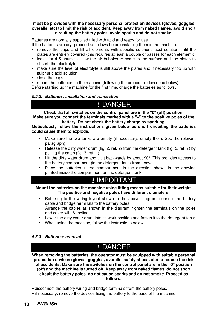#### **must be provided with the necessary personal protection devices (gloves, goggles overalls, etc) to limit the risk of accident. Keep away from naked flames, avoid short circuiting the battery poles, avoid sparks and do not smoke.**

Batteries are normally supplied filled with acid and ready for use.

If the batteries are dry, proceed as follows before installing them in the machine.

- remove the caps and fill all elements with specific sulphuric acid solution until the plates are entirely covered (this requires at least a couple of passes for each element);
- leave for 4-5 hours to allow the air bubbles to come to the surface and the plates to absorb the electrolyte;
- make sure the level of electrolyte is still above the plates and if necessary top up with sulphuric acid solution;
- close the caps;
- mount the batteries on the machine (following the procedure described below).

Before starting up the machine for the first time, charge the batteries as follows.

#### *5.5.2. Batteries: installation and connection*

# ! DANGER

**Check that all switches on the control panel are in the "0" (off) position. Make sure you connect the terminals marked with a "+" to the positive poles of the** 

**battery. Do not check the battery charge by sparking. Meticulously follow the instructions given below as short circuiting the batteries could cause them to explode.** 

- Make sure the two tanks are empty (if necessary, empty them. See the relevant paragraph).
- Release the dirty water drum (fig. 2, ref. 2) from the detergent tank (fig. 2, ref. 7) by pulling the catch (fig. 3, ref. 1).
- Lift the dirty water drum and tilt it backwards by about 90°. This provides access to the battery compartment (in the detergent tank) from above.
- Place the batteries in the compartment in the direction shown in the drawing printed inside the compartment on the detergent tank.

# **& IMPORTANT**

**Mount the batteries on the machine using lifting means suitable for their weight. The positive and negative poles have different diameters.** 

- Referring to the wiring layout shown in the above diagram, connect the battery cable and bridge terminals to the battery poles. Arrange the cables as shown in the diagram, tighten the terminals on the poles and cover with Vaseline.
- Lower the dirty water drum into its work position and fasten it to the detergent tank;
- When using the machine, follow the instructions below.

#### *5.5.3. Batteries: removal*

# ! DANGER

**When removing the batteries, the operator must be equipped with suitable personal protection devices (gloves, goggles, overalls, safety shoes, etc) to reduce the risk of accidents. Make sure the switches on the control panel are in the "0" position (off) and the machine is turned off. Keep away from naked flames, do not short circuit the battery poles, do not cause sparks and do not smoke. Proceed as follows:** 

- disconnect the battery wiring and bridge terminals from the battery poles.
- if necessary, remove the devices fixing the battery to the base of the machine.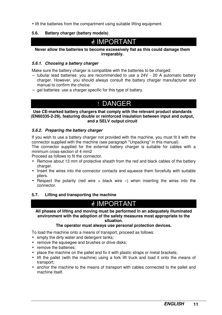• lift the batteries from the compartment using suitable lifting equipment.

#### **5.6. Battery charger (battery models)**

# *<u><sup></sub></mark>* IMPORTANT</u></sup>

**Never allow the batteries to become excessively flat as this could damage them irreparably.** 

#### *5.6.1. Choosing a battery charger*

Make sure the battery charger is compatible with the batteries to be charged:

- − tubular lead batteries: you are recommended to use a 24V 20 A automatic battery charger. However, you should always consult the battery charger manufacturer and manual to confirm the choice.
- − gel batteries: use a charger specific for this type of battery.

### ! DANGER

#### **Use CE-marked battery chargers that comply with the relevant product standards (EN60335-2-29), featuring double or reinforced insulation between input and output, and a SELV output circuit**

#### *5.6.2. Preparing the battery charger*

If you wish to use a battery charger not provided with the machine, you must fit it with the connector supplied with the machine (see paragraph "Unpacking" in this manual).

The connector supplied for the external battery charger is suitable for cables with a minimum cross-section of 4 mm2

Proceed as follows to fit the connector.

- Remove about 13 mm of protective sheath from the red and black cables of the battery charger.
- Insert the wires into the connector contacts and squeeze them forcefully with suitable pliers.
- Respect the polarity (red wire  $+$  black wire  $-$ ) when inserting the wires into the connector.

#### **5.7. Lifting and transporting the machine**

### IMPORTANT

**All phases of lifting and moving must be performed in an adequately illuminated environment with the adoption of the safety measures most appropriate to the situation.** 

#### **The operator must always use personal protection devices.**

To load the machine onto a means of transport, proceed as follows:

- empty the dirty water and detergent tanks;
- remove the squeegee and brushes or drive disks;
- remove the batteries:
- place the machine on the pallet and fix it with plastic straps or metal brackets;
- lift the pallet (with the machine) using a fork lift truck and load it onto the means of transport;
- anchor the machine to the means of transport with cables connected to the pallet and machine itself.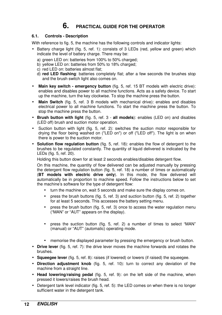### **6. PRACTICAL GUIDE FOR THE OPERATOR**

#### **6.1. Controls - Description**

With reference to fig. 5, the machine has the following controls and indicator lights:

- Battery charge light (fig. 5, ref. 1): consists of 3 LEDs (red, yellow and green) which indicate the level of battery charge. There may be:
	- a) green LED on: batteries from 100% to 50% charged;
	- b) yellow LED on: batteries from 50% to 18% charged;
	- c) red LED on: batteries almost flat;
	- d) **red LED flashing**: batteries completely flat; after a few seconds the brushes stop and the brush switch light also comes on.
- **Main key switch emergency button** (fig. 5, ref. 15 BT models with electric drive): enables and disables power to all machine functions. Acts as a safety device. To start up the machine, turn the key clockwise. To stop the machine press the button.
- **Main Switch** (fig. 5, ref. 3 B models with mechanical drive): enables and disables electrical power to all machine functions. To start the machine press the button. To stop the machine press the button.
- **Brush button with light** (fig. 5, ref. 3 **all models**): enables (LED on) and disables (LED off) brush and suction motor operation.
- Suction button with light (fig. 5, ref. 2): switches the suction motor responsible for drying the floor being washed on ("LED on") or off ("LED off"). The light is on when there is power to the suction motor.
- **Solution flow regulation button** (fig. 5, ref. 18): enables the flow of detergent to the brushes to be regulated constantly. The quantity of liquid delivered is indicated by the LEDs (fig. 5, ref. 20).

Holding this button down for at least 2 seconds enables/disables detergent flow.

On this machine, the quantity of flow delivered can be adjusted manually by pressing the detergent flow regulation button (fig. 5, ref. 18) a number of times or automatically (**BT models with electric drive only**). In this mode, the flow delivered will automatically be in proportion to machine speed. Follow the instructions below to set the machine's software for the type of detergent flow:

- turn the machine on, wait 5 seconds and make sure the display comes on.
- press the brush buttons (fig. 5, ref. 3) and suction button (fig. 5, ref. 2) together for at least 5 seconds. This accesses the battery setting menu.
- press the brush button (fig. 5, ref. 3) once to access the water regulation menu ("MAN" or "AUT" appears on the display).
- press the suction button (fig. 5, ref. 2) a number of times to select "MAN" (manual) or "AUT" (automatic) operating mode.
- memorise the displayed parameter by pressing the emergency or brush button.
- **Drive lever** (fig. 5, ref. 7): the drive lever moves the machine forwards and rotates the brushes.
- **Squeegee lever** (fig. 5, ref. 8): raises (if lowered) or lowers (if raised) the squeegee.
- **Direction adjustment knob** (fig. 5, ref. 10): turn to correct any deviation of the machine from a straight line.
- **Head lowering/raising pedal** (fig. 5, ref. 9): on the left side of the machine, when pressed it lowers/raises the brush head.
- Detergent tank level indicator (fig. 5, ref. 5): the LED comes on when there is no longer sufficient water in the detergent tank.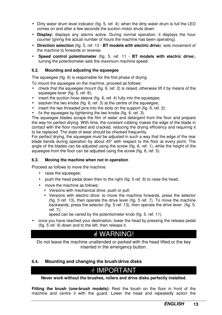- Dirty water drum level indicator (fig. 5, ref. 4): when the dirty water drum is full the LED comes on and after a few seconds the suction motor shuts down.
- **Display:** displays any alarms active. During normal operation, it displays the hour counter (giving the actual number of hours the machine has been operating).
- **Direction selection** (fig. 5, ref. 13 **BT models with electric drive**): sets movement of the machine to forwards or reverse.
- **Speed control potentiometer** (fig. 5, ref. 11 **BT models with electric drive**), turning the potentiometer sets the maximum machine speed.

#### **6.2. Mounting and adjusting the squeegee**

The squeegee (fig. 6) is responsible for the first phase of drying.

To mount the squeegee on the machine, proceed as follows:

- check that the squeegee mount (fig. 6, ref. 2) is raised, otherwise lift it by means of the squeegee lever (fig. 5, ref. 8);
- insert the suction hose sleeve (fig. 6, ref. 4) fully into the squeegee;
- slacken the two knobs (fig. 6, ref. 3) at the centre of the squeegee;
- insert the two threaded pins into the slots on the support (fig. 6, ref. 2);
- fix the squeegee by tightening the two knobs (fig. 6, ref. 3).

The squeegee blades scrape the film of water and detergent from the floor and prepare the way for perfect drying. With time, the constant rubbing makes the edge of the blade in contact with the floor rounded and cracked, reducing the drying efficiency and requiring it to be replaced. The state of wear should be checked frequently.

For perfect drying, the squeegee must be adjusted in such a way that the edge of the rear blade bends during operation by about 45° with respect to the floor at every point. The angle of the blades can be adjusted using the screw (fig. 6, ref. 1), while the height of the squeegee from the floor can be adjusted using the screw (fig. 6, ref. 5).

#### **6.3. Moving the machine when not in operation**

Proceed as follows to move the machine.

- raise the squeegee;
- push the head pedal down then to the right (fig. 5 ref. 9) to raise the head;
- move the machine as follows:
	- Versions with mechanical drive: push or pull;
	- Versions with electric drive: to move the machine forwards, press the selector (fig. 5 ref. 13), then operate the drive lever (fig. 5 ref. 7). To move the machine backwards, press the selector (fig. 5 ref. 13), then operate the drive lever (fig. 5. ref. 7);

speed can be varied by the potentiometer knob (fig. 5. ref. 11).

• once you have reached your destination, lower the head by pressing the release pedal (fig. 5 ref. 9) down and to the left, then release it.

# WARNING!

Do not leave the machine unattended or parked with the head lifted or the key inserted in the emergency button.

#### **6.4. Mounting and changing the brush/drive disks**

# IMPORTANT

**Never work without the brushes, rollers and drive disks perfectly installed.** 

**Fitting the brush (one-brush models):** Rest the brush on the floor in front of the machine and centre it with the guard. Lower the head and repeatedly action the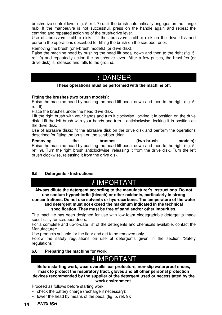brush/drive control lever (fig. 5, ref. 7) until the brush automatically engages on the flange hub. If the manoeuvre is not successful, press on the handle again and repeat the centring and repeated actioning of the brush/drive lever.

Use of abrasive/microfibre disks: fit the abrasive/microfibre disk on the drive disk and perform the operations described for fitting the brush on the scrubber drier.

Removing the brush (one-brush models) (or drive disk):

Raise the machine head by pushing the head lift pedal down and then to the right (fig. 5, ref. 9) and repeatedly action the brush/drive lever. After a few pulses, the brush/es (or drive disk) is released and falls to the ground.

### ! DANGER

#### **These operations must be performed with the machine off.**

#### **Fitting the brushes (two brush models):**

Raise the machine head by pushing the head lift pedal down and then to the right (fig. 5, ref. 9).

Place the brushes under the head drive disk.

Lift the right brush with your hands and turn it clockwise, locking it in position on the drive disk. Lift the left brush with your hands and turn it anticlockwise, locking it in position on the drive disk.

Use of abrasive disks: fit the abrasive disk on the drive disk and perform the operations described for fitting the brush on the scrubber drier.

**Removing the brushes (two-brush models):** Raise the machine head by pushing the head lift pedal down and then to the right (fig. 5, ref. 9). Turn the right brush anticlockwise, releasing it from the drive disk. Turn the left brush clockwise, releasing it from the drive disk.

#### **6.5. Detergents - Instructions**

# *A* IMPORTANT

**Always dilute the detergent according to the manufacturer's instructions. Do not use sodium hypochlorite (bleach) or other oxidants, particularly in strong** 

**concentrations. Do not use solvents or hydrocarbons. The temperature of the water and detergent must not exceed the maximum indicated in the technical specification. They must be free of sand and/or other impurities.**

The machine has been designed for use with low-foam biodegradable detergents made specifically for scrubber driers.

For a complete and up-to-date list of the detergents and chemicals available, contact the Manufacturer:

Use products suitable for the floor and dirt to be removed only.

Follow the safety regulations on use of detergents given in the section "Safety regulations".

#### **6.6. Preparing the machine for work**

# **ØIMPORTANT**

**Before starting work, wear overalls, ear protectors, non-slip waterproof shoes, mask to protect the respiratory tract, gloves and all other personal protection devices recommended by the supplier of the detergent used or necessitated by the work environment.**

Proceed as follows before starting work.

- check the battery charge (recharge if necessary);
- lower the head by means of the pedal (fig. 5, ref. 9);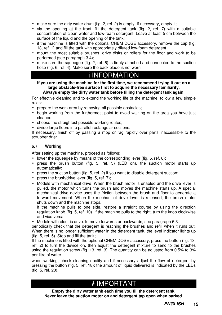- make sure the dirty water drum (fig. 2, ref. 2) is empty. If necessary, empty it:
- via the opening at the front, fill the detergent tank (fig. 2, ref. 7) with a suitable concentration of clean water and low-foam detergent. Leave at least 5 cm between the surface of the liquid and the opening of the tank;
- if the machine is fitted with the optional CHEM DOSE accessory, remove the cap (fig. 13, ref. 1) and fill the tank with appropriately diluted low-foam detergent.
- mount the most suitable brushes, drive disks or rollers for the floor and work to be performed (see paragraph 3.4);
- make sure the squeegee (fig. 2, ref. 6) is firmly attached and connected to the suction hose (fig. 6, ref. 4). Make sure the back blade is not worn.

# i INFORMATION

**If you are using the machine for the first time, we recommend trying it out on a large obstacle-free surface first to acquire the necessary familiarity.** 

#### **Always empty the dirty water tank before filling the detergent tank again.**

For effective cleaning and to extend the working life of the machine, follow a few simple rules:

- prepare the work area by removing all possible obstacles;
- begin working from the furthermost point to avoid walking on the area you have just cleaned;
- choose the straightest possible working routes:
- divide large floors into parallel rectangular sections.

If necessary, finish off by passing a mop or rag rapidly over parts inaccessible to the scrubber drier.

#### **6.7. Working**

After setting up the machine, proceed as follows:

- lower the squeegee by means of the corresponding lever (fig. 5, ref. 8);
- press the brush button (fig. 5, ref. 3) (LED on), the suction motor starts up automatically;
- press the suction button (fig. 5, ref. 2) if you want to disable detergent suction;
- press the brush/drive lever (fig. 5, ref. 7);
- Models with mechanical drive: When the brush motor is enabled and the drive lever is pulled, the motor which turns the brush and moves the machine starts up. A special mechanical drive device uses the friction between the brush and floor to generate a forward movement. When the mechanical drive lever is released, the brush motor shuts down and the machine stops.

If the machine pulls to one side, restore a straight course by using the direction regulation knob (fig. 5, ref. 10). If the machine pulls to the right, turn the knob clockwise and vice versa.

• Models with electric drive: to move forwards or backwards, see paragraph 6.3.

periodically check that the detergent is reaching the brushes and refill when it runs out. When there is no longer sufficient water in the detergent tank, the level indicator lights up (fig. 5, ref. 5). Stop and fill the tank;

If the machine is fitted with the optional CHEM DOSE accessory, press the button (fig. 13, ref. 2) to turn the device on, then adjust the detergent mixture to send to the brushes using the regulation screw (fig. 13, ref. 3). The quantity can be adjusted from 0.5% to 3% per litre of water.

when working, check cleaning quality and if necessary adjust the flow of detergent by pressing the button (fig. 5, ref. 18); the amount of liquid delivered is indicated by the LEDs (fig. 5, ref. 20).

# **d** IMPORTANT

**Empty the dirty water tank each time you fill the detergent tank. Never leave the suction motor on and detergent tap open when parked.**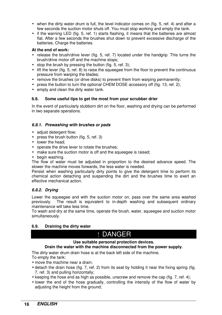- when the dirty water drum is full, the level indicator comes on (fig. 5, ref. 4) and after a few seconds the suction motor shuts off. You must stop working and empty the tank.
- if the warning LED (fig. 5, ref. 1) starts flashing, it means that the batteries are almost flat. After a few seconds the brushes shut down to prevent excessive discharge of the batteries. Charge the batteries.

#### **At the end of work:**

- release the brush/drive lever (fig. 5, ref. 7) located under the handgrip. This turns the brush/drive motor off and the machine stops;
- stop the brush by pressing the button (fig. 5, ref. 3);
- lift the lever (fig. 5, ref. 8) to raise the squeegee from the floor to prevent the continuous pressure from warping the blades;
- remove the brushes (or drive disks) to prevent them from warping permanently;
- press the button to turn the optional CHEM DOSE accessory off (fig. 13, ref. 2):
- empty and clean the dirty water tank.

#### **6.8. Some useful tips to get the most from your scrubber drier**

In the event of particularly stubborn dirt on the floor, washing and drying can be performed in two separate operations.

#### *6.8.1. Prewashing with brushes or pads*

- adiust detergent flow:
- press the brush button (fig. 5, ref. 3)
- lower the head:
- operate the drive lever to rotate the brushes;
- make sure the suction motor is off and the squeegee is raised;
- begin washing.

The flow of water must be adjusted in proportion to the desired advance speed. The slower the machine moves forwards, the less water is needed.

Persist when washing particularly dirty points to give the detergent time to perform its chemical action detaching and suspending the dirt and the brushes time to exert an effective mechanical action.

#### *6.8.2. Drying*

Lower the squeegee and with the suction motor on, pass over the same area washed previously. The result is equivalent to in-depth washing and subsequent ordinary maintenance will take less time.

To wash and dry at the same time, operate the brush, water, squeegee and suction motor simultaneously.

#### **6.9. Draining the dirty water**

### ! DANGER

### **Use suitable personal protection devices.**

#### **Drain the water with the machine disconnected from the power supply.**

The dirty water drum drain hose is at the back left side of the machine.

- To empty the tank:
- move the machine near a drain:
- detach the drain hose (fig. 7, ref. 2) from its seat by holding it near the fixing spring (fig. 7, ref. 3) and pulling horizontally;
- keeping the hose end as high as possible, unscrew and remove the cap (fig. 7, ref. 4);
- lower the end of the hose gradually, controlling the intensity of the flow of water by adjusting the height from the ground;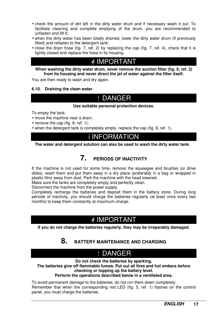- check the amount of dirt left in the dirty water drum and if necessary wash it out. To facilitate cleaning and complete emptying of the drum, you are recommended to unfasten and lift it;
- when the dirty water has been totally drained, lower the dirty water drum (if previously lifted) and refasten to the detergent tank;
- close the drain hose (fig. 7, ref. 2) by replacing the cap (fig. 7, ref. 4), check that it is tightly closed and replace the hose in its housing.

# *<u>IMPORTANT</u>*

**When washing the dirty water drum, never remove the suction filter (fig. 9, ref. 2) from its housing and never direct the jet of water against the filter itself.** 

You are then ready to wash and dry again.

#### **6.10. Draining the clean water**

### ! DANGER

#### **Use suitable personal protection devices.**

To empty the tank:

- move the machine near a drain;
- remove the cap (fig. 8, ref. 1);
- when the detergent tank is completely empty, replace the cap (fig. 8, ref. 1).

### i INFORMATION

**The water and detergent solution can also be used to wash the dirty water tank.** 

### **7. PERIODS OF INACTIVITY**

If the machine is not used for some time, remove the squeegee and brushes (or drive disks), wash them and put them away in a dry place (preferably in a bag or wrapped in plastic film) away from dust. Park the machine with the head lowered.

Make sure the tanks are completely empty and perfectly clean.

Disconnect the machine from the power supply.

Completely recharge the batteries and deposit them in the battery store. During long periods of inactivity, you should charge the batteries regularly (at least once every two months) to keep them constantly at maximum charge.

# *ِ* IMPORTANT

**If you do not charge the batteries regularly, they may be irreparably damaged.** 

### **8. BATTERY MAINTENANCE AND CHARGING**

### ! DANGER

**Do not check the batteries by sparking.** 

**The batteries give off flammable fumes. Put out all fires and hot embers before checking or topping up the battery level.** 

#### **Perform the operations described below in a ventilated area.**

To avoid permanent damage to the batteries, do not run them down completely. Remember that when the corresponding red LED (fig. 5, ref. 1) flashes on the control panel, you must charge the batteries.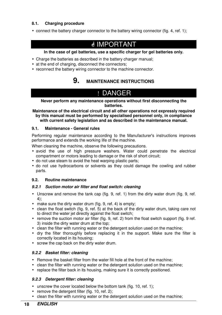#### **8.1. Charging procedure**

• connect the battery charger connector to the battery wiring connector (fig. 4, ref. 1);

### *<u>O</u>* IMPORTANT

#### **In the case of gel batteries, use a specific charger for gel batteries only.**

- Charge the batteries as described in the battery charger manual;
- at the end of charging, disconnect the connectors;
- reconnect the battery wiring connector to the machine connector.

### **9. MAINTENANCE INSTRUCTIONS**

# ! DANGER

#### **Never perform any maintenance operations without first disconnecting the batteries.**

**Maintenance of the electrical circuit and all other operations not expressly required by this manual must be performed by specialised personnel only, in compliance with current safety legislation and as described in the maintenance manual.** 

#### **9.1. Maintenance - General rules**

Performing regular maintenance according to the Manufacturer's instructions improves performance and extends the working life of the machine.

When cleaning the machine, observe the following precautions.

- avoid the use of high pressure washers. Water could penetrate the electrical compartment or motors leading to damage or the risk of short circuit;
- do not use steam to avoid the heat warping plastic parts;
- do not use hydrocarbons or solvents as they could damage the cowling and rubber parts.

#### **9.2. Routine maintenance**

#### *9.2.1 Suction motor air filter and float switch: cleaning*

- Unscrew and remove the tank cap (fig. 9, ref. 1) from the dirty water drum (fig. 9, ref. 4);
- make sure the dirty water drum (fig. 9, ref. 4) is empty;
- clean the float switch (fig. 9, ref. 5) at the back of the dirty water drum, taking care not to direct the water jet directly against the float switch;
- remove the suction motor air filter (fig. 9, ref. 2) from the float switch support (fig. 9 ref. 3) inside the dirty water drum at the top;
- clean the filter with running water or the detergent solution used on the machine;
- dry the filter thoroughly before replacing it in the support. Make sure the filter is correctly located in its housing;
- screw the cap back on the dirty water drum.

#### *9.2.2 Basket filter: cleaning*

- Remove the basket filter from the water fill hole at the front of the machine;
- clean the filter with running water or the detergent solution used on the machine;
- replace the filter back in its housing, making sure it is correctly positioned.

#### *9.2.3 Detergent filter: cleaning*

- unscrew the cover located below the bottom tank (fig. 10, ref. 1);
- remove the detergent filter (fig. 10, ref. 2);
- clean the filter with running water or the detergent solution used on the machine;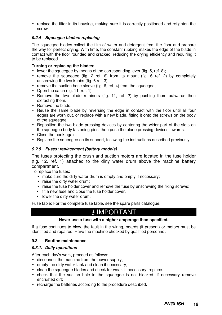• replace the filter in its housing, making sure it is correctly positioned and retighten the screw.

#### *9.2.4 Squeegee blades: replacing*

The squeegee blades collect the film of water and detergent from the floor and prepare the way for perfect drying. With time, the constant rubbing makes the edge of the blade in contact with the floor rounded and cracked, reducing the drying efficiency and requiring it to be replaced.

#### **Turning or replacing the blades:**

- lower the squeegee by means of the corresponding lever (fig. 5, ref. 8);
- remove the squeegee (fig. 2 ref. 6) from its mount (fig. 6 ref. 2) by completely unscrewing the two knobs (fig. 6 ref. 3)
- remove the suction hose sleeve (fig. 6, ref. 4) from the squeegee;
- Open the catch (fig. 11, ref. 1).
- Remove the two blade retainers (fig. 11, ref. 2) by pushing them outwards then extracting them.
- Remove the blade.
- Reuse the same blade by reversing the edge in contact with the floor until all four edges are worn out, or replace with a new blade, fitting it onto the screws on the body of the squeegee.
- Reposition the two blade pressing devices by centering the wider part of the slots on the squeegee body fastening pins, then push the blade pressing devices inwards.
- Close the hook again.
- Replace the squeegee on its support, following the instructions described previously.

#### *9.2.5 Fuses: replacement (battery models)*

The fuses protecting the brush and suction motors are located in the fuse holder (fig. 12, ref. 1) attached to the dirty water drum above the machine battery compartment.

To replace the fuses:

- make sure the dirty water drum is empty and empty if necessary;
- raise the dirty water drum;
- raise the fuse holder cover and remove the fuse by unscrewing the fixing screws;
- fit a new fuse and close the fuse holder cover.
- lower the dirty water drum.

Fuse table: For the complete fuse table, see the spare parts catalogue.

# IMPORTANT

#### **Never use a fuse with a higher amperage than specified.**

If a fuse continues to blow, the fault in the wiring, boards (if present) or motors must be identified and repaired. Have the machine checked by qualified personnel.

#### **9.3. Routine maintenance**

#### *9.3.1. Daily operations*

After each day's work, proceed as follows:

- disconnect the machine from the power supply;
- empty the dirty water tank and clean if necessary;
- clean the squeegee blades and check for wear. If necessary, replace.
- check that the suction hole in the squeegee is not blocked. If necessary remove encrusted dirt;
- recharge the batteries according to the procedure described.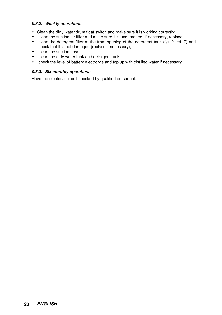#### *9.3.2. Weekly operations*

- Clean the dirty water drum float switch and make sure it is working correctly;
- clean the suction air filter and make sure it is undamaged. If necessary, replace.
- clean the detergent filter at the front opening of the detergent tank (fig. 2, ref. 7) and check that it is not damaged (replace if necessary);
- clean the suction hose:
- clean the dirty water tank and detergent tank;
- check the level of battery electrolyte and top up with distilled water if necessary.

#### *9.3.3. Six monthly operations*

Have the electrical circuit checked by qualified personnel.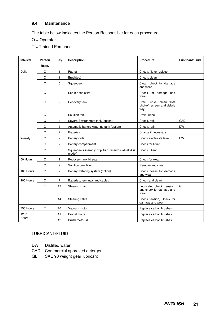#### **9.4. Maintenance**

The table below indicates the Person Responsible for each procedure.

- O = Operator
- T = Trained Personnel.

| <b>Interval</b> | Person | Key            | <b>Description</b>                                         | <b>Procedure</b>                                                | Lubricant/Fluid |
|-----------------|--------|----------------|------------------------------------------------------------|-----------------------------------------------------------------|-----------------|
|                 | Resp.  |                |                                                            |                                                                 |                 |
| Daily           | O      | $\mathbf{1}$   | Pad(s)                                                     | Check, flip or replace                                          |                 |
|                 | O      | 1              | Brush(es)                                                  | Check, clean                                                    |                 |
|                 | O      | 6              | Squeegee                                                   | Clean, check for damage<br>and wear                             |                 |
|                 | O      | 8              | Scrub head skirt                                           | Check for damage and<br>wear                                    |                 |
|                 | O      | $\mathbf{2}$   | Recovery tank                                              | Drain, rinse, clean float<br>shut-off screen and debris<br>tray |                 |
|                 | O      | 3              | Solution tank                                              | Drain, rinse                                                    |                 |
|                 | O      | 4              | Severe Environment tank (option)                           | Check, refill                                                   | CAD             |
|                 | O      | 5              | Automatic battery watering tank (option)                   | Check, refill                                                   | <b>DW</b>       |
|                 | O      | 7              | <b>Batteries</b>                                           | Charge if necessary                                             |                 |
| Weekly          | O      | $\overline{7}$ | <b>Battery cells</b>                                       | Check electrolyte level                                         | <b>DW</b>       |
|                 | O      | 7              | Battery compartment                                        | Check for liquid                                                |                 |
|                 | O      | 6              | Squeegee assembly drip trap reservoir (dual disk<br>model) | Check. Clean                                                    |                 |
| 50 Hours        | O      | 2              | Recovery tank lid seal                                     | Check for wear                                                  |                 |
|                 | O      | 9              | Solution tank filter                                       | Remove and clean                                                |                 |
| 100 Hours       | O      | $\overline{7}$ | Battery watering system (option)                           | Check hoses for damage<br>and wear                              |                 |
| 200 Hours       | O      | 7              | Batteries, terminals and cables                            | Check and clean                                                 |                 |
|                 | т      | 13             | Steering chain                                             | Lubricate, check tension,<br>and check for damage and<br>wear   | GL              |
|                 | т      | 14             | Steering cable                                             | Check tension, Check for<br>damage and wear                     |                 |
| 750 Hours       | Τ      | 10             | Vacuum motor                                               | Replace carbon brushes                                          |                 |
| 1250            | Τ      | 11             | Propel motor                                               | Replace carbon brushes                                          |                 |
| Hours           | Τ      | 12             | Brush motor(s)                                             | Replace carbon brushes                                          |                 |

#### LUBRICANT/FLUID

- DW Distilled water
- CAD Commercial approved detergent
- GL SAE 90 weight gear lubricant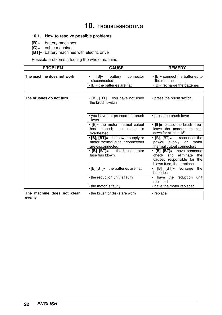# **10. TROUBLESHOOTING**

#### **10.1. How to resolve possible problems**

- **[B]**= battery machines
- **[C]**= cable machines
- **[BT]**= battery machines with electric drive

Possible problems affecting the whole machine.

| <b>PROBLEM</b><br><b>CAUSE</b>       |                                                                                               | <b>REMEDY</b>                                                                                                             |
|--------------------------------------|-----------------------------------------------------------------------------------------------|---------------------------------------------------------------------------------------------------------------------------|
|                                      |                                                                                               |                                                                                                                           |
| The machine does not work            | $[B]=$<br>battery<br>connector<br>disconnected                                                | • [B]= connect the batteries to<br>the machine                                                                            |
|                                      | • [B]= the batteries are flat                                                                 | $\cdot$ [B]= recharge the batteries                                                                                       |
|                                      |                                                                                               |                                                                                                                           |
|                                      |                                                                                               |                                                                                                                           |
| The brushes do not turn              | $\cdot$ [B], [BT]= you have not used<br>the brush switch                                      | • press the brush switch                                                                                                  |
|                                      | • you have not pressed the brush<br>lever                                                     | • press the brush lever                                                                                                   |
|                                      | • [B]= the motor thermal cutout<br>tripped; the motor<br>has<br>is<br>overheated              | • [B]= release the brush lever;<br>leave the machine to cool<br>down for at least 45'                                     |
|                                      | $\cdot$ [B], [BT]= the power supply or<br>motor thermal cutout connectors<br>are disconnected | $\cdot$ [B], [BT]= reconnect the<br>power supply<br>or<br>motor<br>thermal cutout connectors                              |
|                                      | $\cdot$ [B] [BT]= the brush motor<br>fuse has blown                                           | • [B] [BT]= have someone<br>check<br>eliminate<br>and<br>the<br>causes responsible for<br>the<br>blown fuse, then replace |
|                                      | $\cdot$ [B] [BT]= the batteries are flat                                                      | [B] [BT]= recharge<br>the<br>batteries                                                                                    |
|                                      | • the reduction unit is faulty                                                                | have<br>the reduction<br>unit<br>٠<br>replaced                                                                            |
|                                      | • the motor is faulty                                                                         | • have the motor replaced                                                                                                 |
| The machine does not clean<br>evenly | • the brush or disks are worn                                                                 | • replace                                                                                                                 |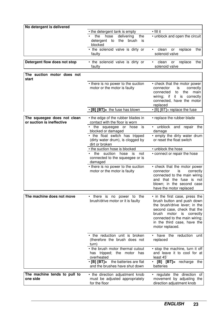| No detergent is delivered                                |                                                                                       |                                                                                                                                                                                                              |
|----------------------------------------------------------|---------------------------------------------------------------------------------------|--------------------------------------------------------------------------------------------------------------------------------------------------------------------------------------------------------------|
|                                                          | • the detergent tank is empty                                                         | • fill it                                                                                                                                                                                                    |
|                                                          | the<br>hose<br>delivering<br>the<br>detergent<br>the<br>brush<br>to<br>is<br>blocked  | • unblock and open the circuit                                                                                                                                                                               |
|                                                          | • the solenoid valve is dirty or<br>faulty                                            | clean<br>replace<br>the<br>or<br>solenoid valve                                                                                                                                                              |
| Detergent flow does not stop                             | • the solenoid valve is dirty or<br>faulty                                            | clean<br>replace<br>the<br>or<br>$\bullet$<br>solenoid valve                                                                                                                                                 |
| The suction motor does not<br>start                      |                                                                                       |                                                                                                                                                                                                              |
|                                                          | • there is no power to the suction<br>motor or the motor is faulty                    | • check that the motor power<br>is<br>correctly<br>connector<br>connected<br>to<br>the<br>main<br>it is correctly<br>wiring; if<br>connected, have the motor<br>replaced                                     |
|                                                          | • [B] [BT]= the fuse has blown                                                        | $\cdot$ [B] [BT]= replace the fuse                                                                                                                                                                           |
| The squeegee does not clean<br>or suction is ineffective | • the edge of the rubber blades in<br>contact with the floor is worn                  | • replace the rubber blade                                                                                                                                                                                   |
|                                                          | the squeegee or hose is<br>blocked or damaged                                         | unblock<br>and repair the<br>damage                                                                                                                                                                          |
|                                                          | • the float switch has tripped<br>(dirty water drum), is clogged by<br>dirt or broken | • empty the dirty water drum<br>or reset the float switch                                                                                                                                                    |
|                                                          | • the suction hose is blocked                                                         | • unblock the hose                                                                                                                                                                                           |
|                                                          | the suction<br>hose<br>is<br>not<br>connected to the squeegee or is<br>damaged        | • connect or repair the hose                                                                                                                                                                                 |
|                                                          | • there is no power to the suction<br>motor or the motor is faulty                    | • check that the motor power<br>connector<br>is<br>correctly<br>connected to the main wiring<br>and that the fuse is not<br>blown; in the second case<br>have the motor replaced                             |
| The machine does not move                                | • there is no power to the                                                            | • in the first case, press the                                                                                                                                                                               |
|                                                          | brush/drive motor or it is faulty                                                     | brush button and push down<br>the brush/drive lever; in the<br>second case, check that the<br>brush<br>motor is correctly<br>connected to the main wiring;<br>in the third case, have the<br>motor replaced. |
|                                                          | • the reduction unit is broken<br>(therefore the brush does not<br>turn)              | • have the reduction unit<br>replaced                                                                                                                                                                        |
|                                                          | • the brush motor thermal cutout<br>has tripped; the motor<br>has<br>overheated       | • stop the machine, turn it off<br>and leave it to cool for at<br>least 45                                                                                                                                   |
|                                                          | $\cdot$ [B] [BT]= the batteries are flat<br>and the brushes have shut down            | $\cdot$ [B] [BT]= recharge the<br>batteries                                                                                                                                                                  |
| The machine tends to pull to<br>one side                 | • the direction adjustment knob<br>must be adjusted appropriately<br>for the floor    | · regulate the direction of<br>movement by adjusting the<br>direction adjustment knob                                                                                                                        |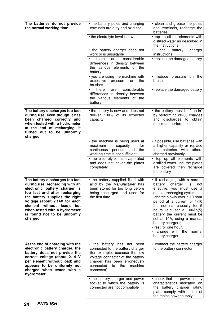| The batteries do not provide<br>the normal working time                                                                                                                                                                                                                                                          | • the battery poles and charging<br>terminals are dirty and oxidised                                                                                                                                                   | • clean and grease the poles<br>and terminals, recharge the<br>batteries                                                                                                                                                                                                                                                                                                                                              |
|------------------------------------------------------------------------------------------------------------------------------------------------------------------------------------------------------------------------------------------------------------------------------------------------------------------|------------------------------------------------------------------------------------------------------------------------------------------------------------------------------------------------------------------------|-----------------------------------------------------------------------------------------------------------------------------------------------------------------------------------------------------------------------------------------------------------------------------------------------------------------------------------------------------------------------------------------------------------------------|
|                                                                                                                                                                                                                                                                                                                  | • the electrolyte level is low                                                                                                                                                                                         | • top up all the elements with<br>distilled water as described in<br>the instructions                                                                                                                                                                                                                                                                                                                                 |
|                                                                                                                                                                                                                                                                                                                  | • the battery charger does not<br>work or is unsuitable                                                                                                                                                                | battery<br>charger<br>see<br>instructions                                                                                                                                                                                                                                                                                                                                                                             |
|                                                                                                                                                                                                                                                                                                                  | considerable<br>there<br>are<br>differences in density between<br>the various elements of the<br>battery                                                                                                               | • replace the damaged battery                                                                                                                                                                                                                                                                                                                                                                                         |
|                                                                                                                                                                                                                                                                                                                  | • you are using the machine with<br>excessive pressure<br>the<br>on<br>brushes                                                                                                                                         | • reduce pressure on the<br>brush                                                                                                                                                                                                                                                                                                                                                                                     |
|                                                                                                                                                                                                                                                                                                                  | considerable<br>there<br>are<br>differences in density between<br>the various elements of the<br>battery                                                                                                               | • replace the damaged battery                                                                                                                                                                                                                                                                                                                                                                                         |
| The battery discharges too fast<br>during use, even though it has<br>been charged correctly and<br>when tested with a hydrometer<br>at the end of recharging, it<br>turned out to be uniformly<br>charged                                                                                                        | • the battery is new and does not<br>deliver 100% of its expected<br>capacity                                                                                                                                          | • the battery must be "run-in"<br>by performing 20-30 charges<br>and discharges to obtain<br>maximum performance                                                                                                                                                                                                                                                                                                      |
|                                                                                                                                                                                                                                                                                                                  | • the machine is being used at<br>maximum<br>capacity<br>for<br>periods and<br>continuous<br>the<br>working time is not sufficient<br>• the electrolyte has evaporated                                                 | • if possible, use batteries with<br>a higher capacity or replace<br>batteries with<br>the<br>others<br>charged previously<br>• top up all elements with                                                                                                                                                                                                                                                              |
|                                                                                                                                                                                                                                                                                                                  | and does not cover the plates<br>completely                                                                                                                                                                            | distilled water until the plates<br>are covered then recharge<br>the battery                                                                                                                                                                                                                                                                                                                                          |
| The battery discharges too fast<br>during use, recharging with an<br>electronic battery charger is<br>too fast and after recharging<br>the battery supplies the right<br>voltage (about 2.14V for each<br>element without load), but<br>when tested with a hydrometer<br>is found not to be uniformly<br>charged | • the battery supplied filled with<br>acid by the Manufacturer has<br>been stored for too long before<br>being recharged and used for<br>the first time                                                                | • if recharging with a normal<br>battery<br>charger<br>is<br>not<br>effective, you must use a<br>double recharging cycle:<br>- charge slowly over a 10 hour<br>period at a current of 1/10<br>the nominal capacity for 5<br>hours (e.g. for a $100Ah(5)$<br>battery the current must be<br>set at 10A, using a manual<br>battery charger);<br>- rest for one hour;<br>- charge with the<br>normal<br>battery charger. |
| At the end of charging with the<br>electronic battery charger, the<br>battery does not provide the<br>correct voltage (about 2.14 V<br>per element without load) and<br>appears to be uniformly not<br>charged when tested with a<br>hydrometer                                                                  | • the battery has not been<br>connected to the battery charger<br>(for example, because the low<br>voltage connector of the battery<br>charger has been erroneously<br>machine<br>connected<br>to<br>the<br>connector) | • connect the battery charger<br>to the battery connector                                                                                                                                                                                                                                                                                                                                                             |
|                                                                                                                                                                                                                                                                                                                  | • the battery charger and power<br>socket to which the battery is<br>connected are not compatible                                                                                                                      | • check that the power supply<br>characteristics indicated on<br>the battery charger rating<br>plate comply with those of<br>the mains power supply                                                                                                                                                                                                                                                                   |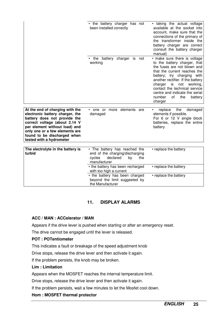|                                                                                                                                                                                                                                                                   | • the battery charger has not<br>been installed correctly                                                                                    | • taking the actual voltage<br>available at the socket into<br>account, make sure that the<br>connections of the primary of<br>the transformer inside the<br>battery charger are correct<br>(consult the battery charger<br>manual)                                                                                                                |
|-------------------------------------------------------------------------------------------------------------------------------------------------------------------------------------------------------------------------------------------------------------------|----------------------------------------------------------------------------------------------------------------------------------------------|----------------------------------------------------------------------------------------------------------------------------------------------------------------------------------------------------------------------------------------------------------------------------------------------------------------------------------------------------|
|                                                                                                                                                                                                                                                                   | the battery charger is not<br>working                                                                                                        | • make sure there is voltage<br>to the battery charger, that<br>the fuses are not blown and<br>that the current reaches the<br>battery; try charging with<br>another rectifier. If the battery<br>is<br>charger<br>not<br>working,<br>contact the technical service<br>centre and indicate the serial<br>number<br>0f<br>the<br>battery<br>charger |
| At the end of charging with the<br>electronic battery charger, the<br>battery does not provide the<br>correct voltage (about 2.14 V<br>per element without load) and<br>only one or a few elements are<br>found to be discharged when<br>tested with a hydrometer | more elements<br>• one or<br>are<br>damaged                                                                                                  | the<br>replace<br>damaged<br>$\bullet$<br>elements if possible.<br>For 6 or 12 V single block<br>batteries, replace the entire<br>battery                                                                                                                                                                                                          |
| The electrolyte in the battery is<br>turbid                                                                                                                                                                                                                       | • The battery has reached the<br>• replace the battery<br>end of the charging/discharging<br>cycles<br>declared<br>the<br>by<br>manufacturer |                                                                                                                                                                                                                                                                                                                                                    |
|                                                                                                                                                                                                                                                                   | • the battery has been recharged<br>with too high a current                                                                                  | • replace the battery                                                                                                                                                                                                                                                                                                                              |
|                                                                                                                                                                                                                                                                   | • the battery has been charged<br>beyond the limit suggested by<br>the Manufacturer                                                          | • replace the battery                                                                                                                                                                                                                                                                                                                              |

#### **11. DISPLAY ALARMS**

#### **ACC / MAN : ACCelerator / MAN**

Appears if the drive lever is pushed when starting or after an emergency reset.

The drive cannot be engaged until the lever is released.

#### **POT : POTentiometer**

This indicates a fault or breakage of the speed adjustment knob

Drive stops, release the drive lever and then activate it again.

If the problem persists, the knob may be broken.

#### **Lim : Limitation**

Appears when the MOSFET reaches the internal temperature limit.

Drive stops, release the drive lever and then activate it again.

If the problem persists, wait a few minutes to let the Mosfet cool down.

#### **Hom : MOSFET thermal protector**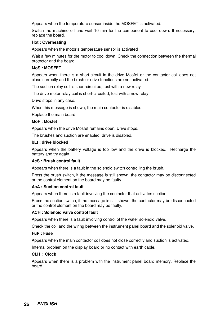Appears when the temperature sensor inside the MOSFET is activated.

Switch the machine off and wait 10 min for the component to cool down. If necessary, replace the board.

#### **Hot : Overheating**

Appears when the motor's temperature sensor is activated

Wait a few minutes for the motor to cool down. Check the connection between the thermal protector and the board.

#### **MoS : MOSFET**

Appears when there is a short-circuit in the drive Mosfet or the contactor coil does not close correctly and the brush or drive functions are not activated.

The suction relay coil is short-circuited, test with a new relay

The drive motor relay coil is short-circuited, test with a new relay

Drive stops in any case.

When this message is shown, the main contactor is disabled.

Replace the main board.

#### **MoF : Mosfet**

Appears when the drive Mosfet remains open. Drive stops.

The brushes and suction are enabled, drive is disabled.

#### **bLt : drive blocked**

Appears when the battery voltage is too low and the drive is blocked. Recharge the battery and try again.

#### **AcS : Brush control fault**

Appears when there is a fault in the solenoid switch controlling the brush.

Press the brush switch, if the message is still shown, the contactor may be disconnected or the control element on the board may be faulty.

#### **AcA : Suction control fault**

Appears when there is a fault involving the contactor that activates suction.

Press the suction switch, if the message is still shown, the contactor may be disconnected or the control element on the board may be faulty.

#### **ACH : Solenoid valve control fault**

Appears when there is a fault involving control of the water solenoid valve.

Check the coil and the wiring between the instrument panel board and the solenoid valve.

#### **FuP : Fuse**

Appears when the main contactor coil does not close correctly and suction is activated.

Internal problem on the display board or no contact with earth cable.

#### **CLH : Clock**

Appears when there is a problem with the instrument panel board memory. Replace the board.